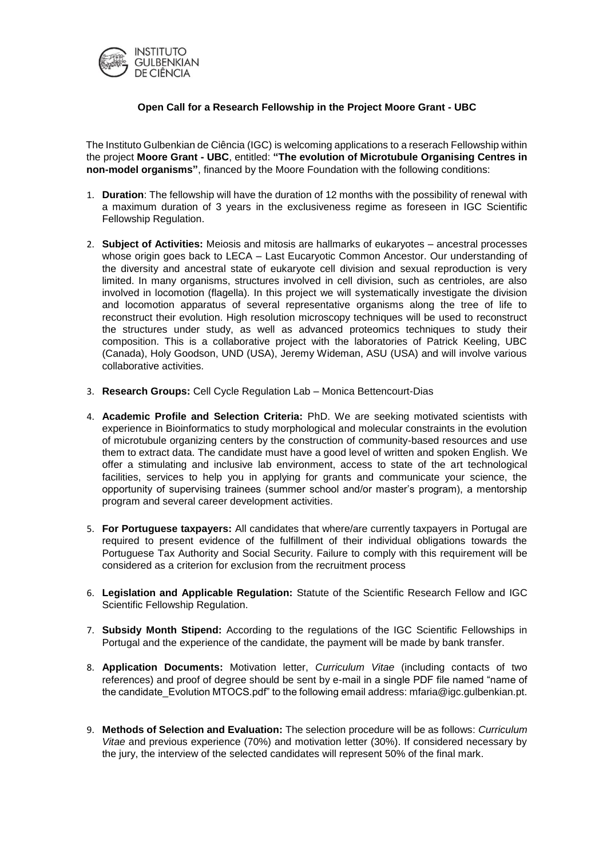

## **Open Call for a Research Fellowship in the Project Moore Grant - UBC**

The Instituto Gulbenkian de Ciência (IGC) is welcoming applications to a reserach Fellowship within the project **Moore Grant - UBC**, entitled: **"The evolution of Microtubule Organising Centres in non-model organisms"**, financed by the Moore Foundation with the following conditions:

- 1. **Duration**: The fellowship will have the duration of 12 months with the possibility of renewal with a maximum duration of 3 years in the exclusiveness regime as foreseen in IGC Scientific Fellowship Regulation.
- 2. **Subject of Activities:** Meiosis and mitosis are hallmarks of eukaryotes ancestral processes whose origin goes back to LECA – Last Eucaryotic Common Ancestor. Our understanding of the diversity and ancestral state of eukaryote cell division and sexual reproduction is very limited. In many organisms, structures involved in cell division, such as centrioles, are also involved in locomotion (flagella). In this project we will systematically investigate the division and locomotion apparatus of several representative organisms along the tree of life to reconstruct their evolution. High resolution microscopy techniques will be used to reconstruct the structures under study, as well as advanced proteomics techniques to study their composition. This is a collaborative project with the laboratories of Patrick Keeling, UBC (Canada), Holy Goodson, UND (USA), Jeremy Wideman, ASU (USA) and will involve various collaborative activities.
- 3. **Research Groups:** Cell Cycle Regulation Lab Monica Bettencourt-Dias
- 4. **Academic Profile and Selection Criteria:** PhD. We are seeking motivated scientists with experience in Bioinformatics to study morphological and molecular constraints in the evolution of microtubule organizing centers by the construction of community-based resources and use them to extract data. The candidate must have a good level of written and spoken English. We offer a stimulating and inclusive lab environment, access to state of the art technological facilities, services to help you in applying for grants and communicate your science, the opportunity of supervising trainees (summer school and/or master's program), a mentorship program and several career development activities.
- 5. **For Portuguese taxpayers:** All candidates that where/are currently taxpayers in Portugal are required to present evidence of the fulfillment of their individual obligations towards the Portuguese Tax Authority and Social Security. Failure to comply with this requirement will be considered as a criterion for exclusion from the recruitment process
- 6. **Legislation and Applicable Regulation:** Statute of the Scientific Research Fellow and IGC Scientific Fellowship Regulation.
- 7. **Subsidy Month Stipend:** According to the regulations of the IGC Scientific Fellowships in Portugal and the experience of the candidate, the payment will be made by bank transfer.
- 8. **Application Documents:** Motivation letter, *Curriculum Vitae* (including contacts of two references) and proof of degree should be sent by e-mail in a single PDF file named "name of the candidate\_Evolution MTOCS.pdf" to the following email address: mfaria@igc.gulbenkian.pt.
- 9. **Methods of Selection and Evaluation:** The selection procedure will be as follows: *Curriculum Vitae* and previous experience (70%) and motivation letter (30%). If considered necessary by the jury, the interview of the selected candidates will represent 50% of the final mark.